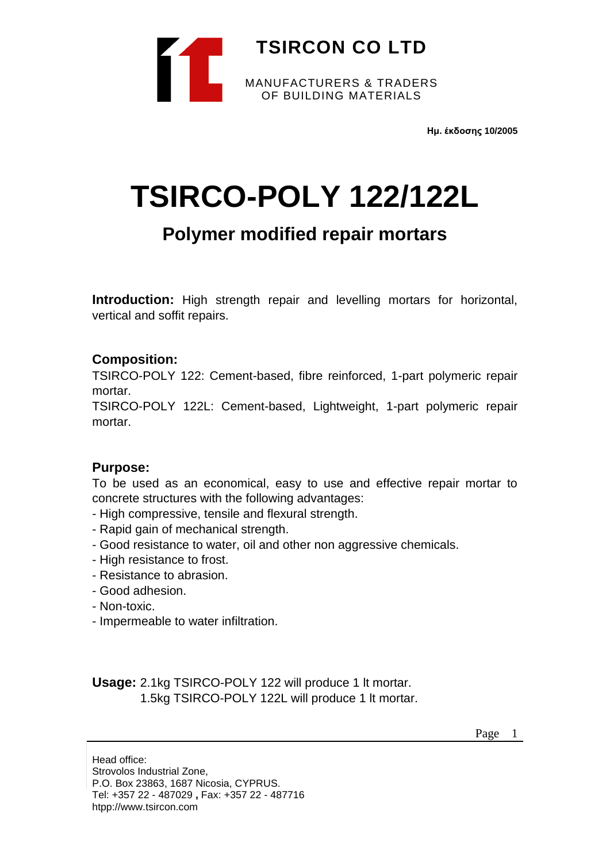

**Ημ. έκδοσης 10/2005**

# **TSIRCO-POLY 122/122L**

# **Polymer modified repair mortars**

**Introduction:** High strength repair and levelling mortars for horizontal, vertical and soffit repairs.

## **Composition:**

TSIRCO-POLY 122: Cement-based, fibre reinforced, 1-part polymeric repair mortar.

TSIRCO-POLY 122L: Cement-based, Lightweight, 1-part polymeric repair mortar.

#### **Purpose:**

To be used as an economical, easy to use and effective repair mortar to concrete structures with the following advantages:

- High compressive, tensile and flexural strength.
- Rapid gain of mechanical strength.
- Good resistance to water, oil and other non aggressive chemicals.
- High resistance to frost.
- Resistance to abrasion.
- Good adhesion.
- Non-toxic.
- Impermeable to water infiltration.

**Usage:** 2.1kg TSIRCO-POLY 122 will produce 1 lt mortar. 1.5kg TSIRCO-POLY 122L will produce 1 lt mortar.

Page 1

Head office: Strovolos Industrial Zone, P.O. Box 23863, 1687 Nicosia, CYPRUS. Tel: +357 22 - 487029 **,** Fax: +357 22 - 487716 htpp://www.tsircon.com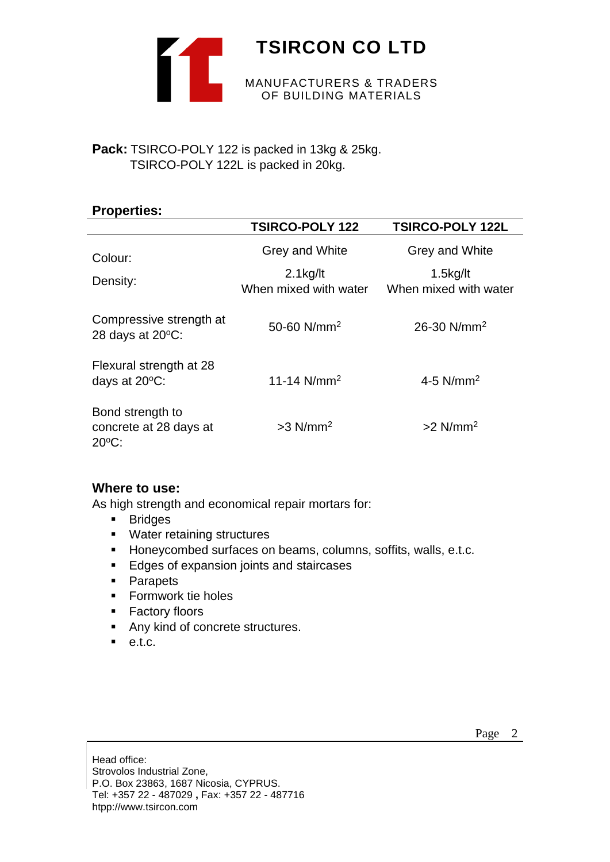

# **Pack:** TSIRCO-POLY 122 is packed in 13kg & 25kg.

TSIRCO-POLY 122L is packed in 20kg.

| <b>Properties:</b>                                            |                                                        |                                                        |
|---------------------------------------------------------------|--------------------------------------------------------|--------------------------------------------------------|
|                                                               | <b>TSIRCO-POLY 122</b>                                 | <b>TSIRCO-POLY 122L</b>                                |
| Colour:<br>Density:                                           | Grey and White<br>$2.1$ kg/lt<br>When mixed with water | Grey and White<br>$1.5$ kg/lt<br>When mixed with water |
| Compressive strength at<br>28 days at $20^{\circ}$ C:         | 50-60 $N/mm^2$                                         | 26-30 $N/mm^2$                                         |
| Flexural strength at 28<br>days at $20^{\circ}$ C:            | 11-14 $N/mm^2$                                         | 4-5 $N/mm^2$                                           |
| Bond strength to<br>concrete at 28 days at<br>$20^{\circ}$ C: | $>3$ N/mm <sup>2</sup>                                 | $>2$ N/mm <sup>2</sup>                                 |

# **Where to use:**

As high strength and economical repair mortars for:

- Bridges
- Water retaining structures
- Honeycombed surfaces on beams, columns, soffits, walls, e.t.c.
- Edges of expansion joints and staircases
- Parapets
- Formwork tie holes
- Factory floors
- Any kind of concrete structures.
- $e.t.c.$

Head office: Strovolos Industrial Zone, P.O. Box 23863, 1687 Nicosia, CYPRUS. Tel: +357 22 - 487029 **,** Fax: +357 22 - 487716 htpp://www.tsircon.com

Page 2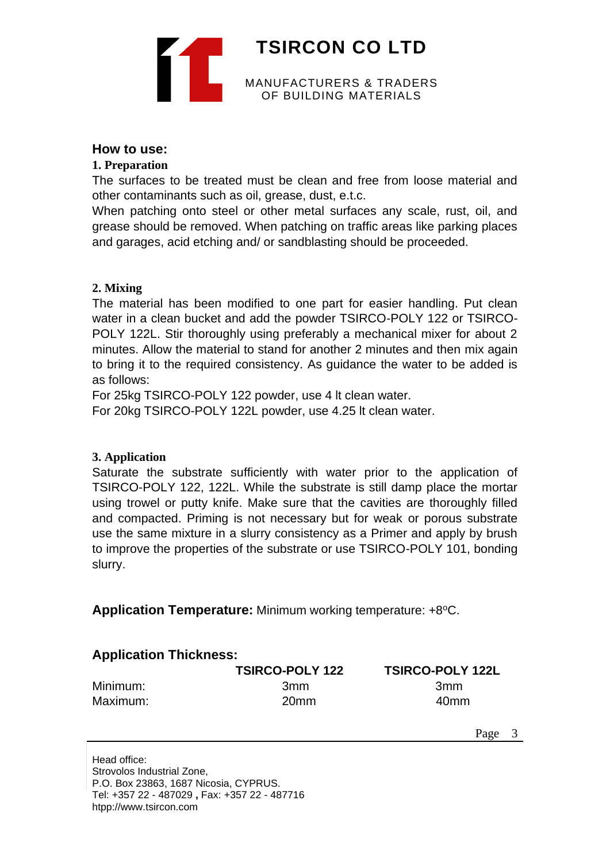

# **How to use:**

### **1. Preparation**

The surfaces to be treated must be clean and free from loose material and other contaminants such as oil, grease, dust, e.t.c.

When patching onto steel or other metal surfaces any scale, rust, oil, and grease should be removed. When patching on traffic areas like parking places and garages, acid etching and/ or sandblasting should be proceeded.

### **2. Mixing**

The material has been modified to one part for easier handling. Put clean water in a clean bucket and add the powder TSIRCO-POLY 122 or TSIRCO-POLY 122L. Stir thoroughly using preferably a mechanical mixer for about 2 minutes. Allow the material to stand for another 2 minutes and then mix again to bring it to the required consistency. As guidance the water to be added is as follows:

For 25kg TSIRCO-POLY 122 powder, use 4 lt clean water.

For 20kg TSIRCO-POLY 122L powder, use 4.25 lt clean water.

#### **3. Application**

Saturate the substrate sufficiently with water prior to the application of TSIRCO-POLY 122, 122L. While the substrate is still damp place the mortar using trowel or putty knife. Make sure that the cavities are thoroughly filled and compacted. Priming is not necessary but for weak or porous substrate use the same mixture in a slurry consistency as a Primer and apply by brush to improve the properties of the substrate or use TSIRCO-POLY 101, bonding slurry.

**Application Temperature:** Minimum working temperature: +8°C.

|          | <b>TSIRCO-POLY 122</b> | <b>TSIRCO-POLY 122L</b> |
|----------|------------------------|-------------------------|
| Minimum: | 3 <sub>mm</sub>        | 3 <sub>mm</sub>         |
| Maximum: | 20 <sub>mm</sub>       | 40 <sub>mm</sub>        |

Page 3

Head office: Strovolos Industrial Zone, P.O. Box 23863, 1687 Nicosia, CYPRUS. Tel: +357 22 - 487029 **,** Fax: +357 22 - 487716 htpp://www.tsircon.com